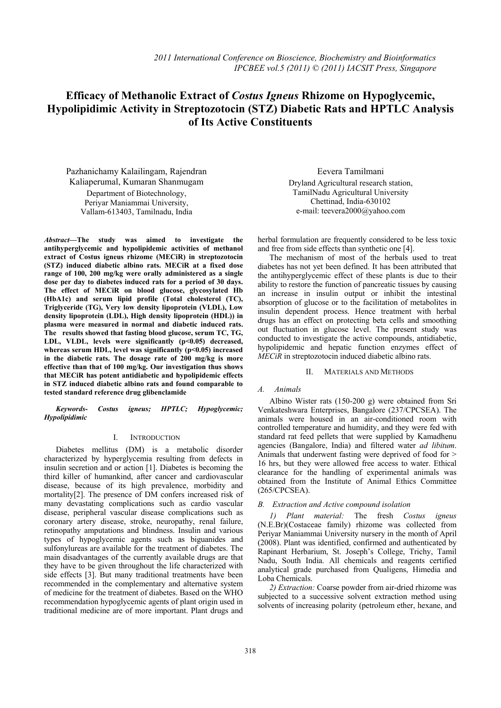# **Efficacy of Methanolic Extract of** *Costus Igneus* **Rhizome on Hypoglycemic, Hypolipidimic Activity in Streptozotocin (STZ) Diabetic Rats and HPTLC Analysis of Its Active Constituents**

Pazhanichamy Kalailingam, Rajendran Kaliaperumal, Kumaran Shanmugam Department of Biotechnology, Periyar Maniammai University, Vallam-613403, Tamilnadu, India

*Abstract—***The study was aimed to investigate the antihyperglycemic and hypolipidemic activities of methanol extract of Costus igneus rhizome (MECiR) in streptozotocin (STZ) induced diabetic albino rats. MECiR at a fixed dose range of 100, 200 mg/kg were orally administered as a single dose per day to diabetes induced rats for a period of 30 days. The effect of MECiR on blood glucose, glycosylated Hb (HbA1c) and serum lipid profile (Total cholesterol (TC), Triglyceride (TG), Very low density lipoprotein (VLDL), Low density lipoprotein (LDL), High density lipoprotein (HDL)) in plasma were measured in normal and diabetic induced rats. The results showed that fasting blood glucose, serum TC, TG,**  LDL, VLDL, levels were significantly (p<0.05) decreased, **whereas serum HDL, level was significantly (p<0.05) increased in the diabetic rats. The dosage rate of 200 mg/kg is more effective than that of 100 mg/kg. Our investigation thus shows that MECiR has potent antidiabetic and hypolipidemic effects in STZ induced diabetic albino rats and found comparable to tested standard reference drug glibenclamide** 

*Keywords- Costus igneus; HPTLC; Hypoglycemic; Hypolipidimic* 

## I. INTRODUCTION

Diabetes mellitus (DM) is a metabolic disorder characterized by hyperglycemia resulting from defects in insulin secretion and or action [1]. Diabetes is becoming the third killer of humankind, after cancer and cardiovascular disease, because of its high prevalence, morbidity and mortality[2]. The presence of DM confers increased risk of many devastating complications such as cardio vascular disease, peripheral vascular disease complications such as coronary artery disease, stroke, neuropathy, renal failure, retinopathy amputations and blindness. Insulin and various types of hypoglycemic agents such as biguanides and sulfonylureas are available for the treatment of diabetes. The main disadvantages of the currently available drugs are that they have to be given throughout the life characterized with side effects [3]. But many traditional treatments have been recommended in the complementary and alternative system of medicine for the treatment of diabetes. Based on the WHO recommendation hypoglycemic agents of plant origin used in traditional medicine are of more important. Plant drugs and

Eevera Tamilmani Dryland Agricultural research station, TamilNadu Agricultural University Chettinad, India-630102 e-mail: teevera2000@yahoo.com

herbal formulation are frequently considered to be less toxic and free from side effects than synthetic one [4].

The mechanism of most of the herbals used to treat diabetes has not yet been defined. It has been attributed that the antihyperglycemic effect of these plants is due to their ability to restore the function of pancreatic tissues by causing an increase in insulin output or inhibit the intestinal absorption of glucose or to the facilitation of metabolites in insulin dependent process. Hence treatment with herbal drugs has an effect on protecting beta cells and smoothing out fluctuation in glucose level. The present study was conducted to investigate the active compounds, antidiabetic, hypolipidemic and hepatic function enzymes effect of *MECiR* in streptozotocin induced diabetic albino rats.

## II. MATERIALS AND METHODS

## *A. Animals*

Albino Wister rats (150-200 g) were obtained from Sri Venkateshwara Enterprises, Bangalore (237/CPCSEA). The animals were housed in an air-conditioned room with controlled temperature and humidity, and they were fed with standard rat feed pellets that were supplied by Kamadhenu agencies (Bangalore, India) and filtered water *ad libitum*. Animals that underwent fasting were deprived of food for > 16 hrs, but they were allowed free access to water. Ethical clearance for the handling of experimental animals was obtained from the Institute of Animal Ethics Committee (265/CPCSEA).

## *B. Extraction and Active compound isolation*

*1) Plant material:* The fresh *Costus igneus* (N.E.Br)(Costaceae family) rhizome was collected from Periyar Maniammai University nursery in the month of April (2008). Plant was identified, confirmed and authenticated by Rapinant Herbarium, St. Joseph's College, Trichy, Tamil Nadu, South India. All chemicals and reagents certified analytical grade purchased from Qualigens, Himedia and Loba Chemicals.

*2) Extraction:* Coarse powder from air-dried rhizome was subjected to a successive solvent extraction method using solvents of increasing polarity (petroleum ether, hexane, and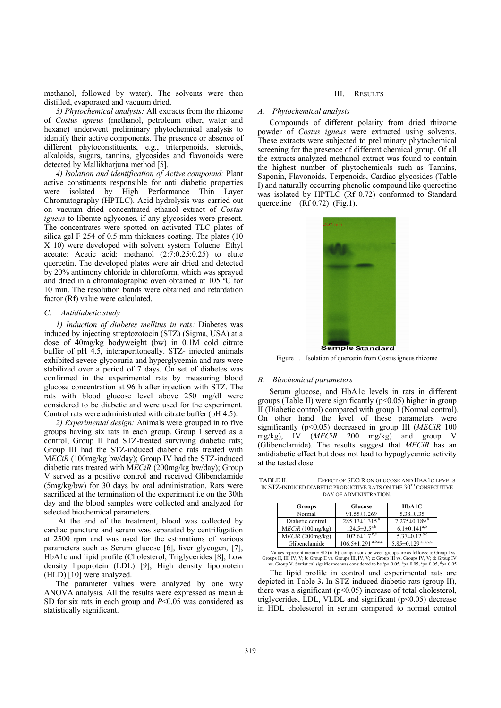methanol, followed by water). The solvents were then distilled, evaporated and vacuum dried.

*3) Phytochemical analysis:* All extracts from the rhizome of *Costus igneus* (methanol, petroleum ether, water and hexane) underwent preliminary phytochemical analysis to identify their active components. The presence or absence of different phytoconstituents, e.g., triterpenoids, steroids, alkaloids, sugars, tannins, glycosides and flavonoids were detected by Mallikharjuna method [5].

*4) Isolation and identification of Active compound:* Plant active constituents responsible for anti diabetic properties were isolated by High Performance Thin Layer Chromatography (HPTLC). Acid hydrolysis was carried out on vacuum dried concentrated ethanol extract of *Costus igneus* to liberate aglycones, if any glycosides were present. The concentrates were spotted on activated TLC plates of silica gel F 254 of 0.5 mm thickness coating. The plates (10 X 10) were developed with solvent system Toluene: Ethyl acetate: Acetic acid: methanol (2:7:0.25:0.25) to elute quercetin. The developed plates were air dried and detected by 20% antimony chloride in chloroform, which was sprayed and dried in a chromatographic oven obtained at 105 ºC for 10 min. The resolution bands were obtained and retardation factor (Rf) value were calculated.

#### *C. Antidiabetic study*

*1) Induction of diabetes mellitus in rats:* Diabetes was induced by injecting streptozotocin (STZ) (Sigma, USA) at a dose of 40mg/kg bodyweight (bw) in 0.1M cold citrate buffer of pH 4.5, interaperitoneally. STZ- injected animals exhibited severe glycosuria and hyperglycemia and rats were stabilized over a period of 7 days. On set of diabetes was confirmed in the experimental rats by measuring blood glucose concentration at 96 h after injection with STZ. The rats with blood glucose level above 250 mg/dl were considered to be diabetic and were used for the experiment. Control rats were administrated with citrate buffer (pH 4.5).

*2) Experimental design:* Animals were grouped in to five groups having six rats in each group. Group I served as a control; Group II had STZ-treated surviving diabetic rats; Group III had the STZ-induced diabetic rats treated with M*ECiR* (100mg/kg bw/day); Group IV had the STZ-induced diabetic rats treated with M*ECiR* (200mg/kg bw/day); Group V served as a positive control and received Glibenclamide (5mg/kg/bw) for 30 days by oral administration. Rats were sacrificed at the termination of the experiment i.e on the 30th day and the blood samples were collected and analyzed for selected biochemical parameters.

 At the end of the treatment, blood was collected by cardiac puncture and serum was separated by centrifugation at 2500 rpm and was used for the estimations of various parameters such as Serum glucose [6], liver glycogen, [7], HbA1c and lipid profile (Cholesterol, Triglycerides [8], Low density lipoprotein (LDL) [9], High density lipoprotein (HLD) [10] were analyzed.

The parameter values were analyzed by one way ANOVA analysis. All the results were expressed as mean  $\pm$ SD for six rats in each group and *P*<0.05 was considered as statistically significant.

#### III. RESULTS

## *A. Phytochemical analysis*

Compounds of different polarity from dried rhizome powder of *Costus igneus* were extracted using solvents. These extracts were subjected to preliminary phytochemical screening for the presence of different chemical group. Of all the extracts analyzed methanol extract was found to contain the highest number of phytochemicals such as Tannins, Saponin, Flavonoids, Terpenoids, Cardiac glycosides (Table I) and naturally occurring phenolic compound like quercetine was isolated by HPTLC (Rf 0.72) conformed to Standard quercetine  $(Rf 0.72)$  (Fig.1).



Figure 1. Isolation of quercetin from Costus igneus rhizome

## *B. Biochemical parameters*

Serum glucose, and HbA1c levels in rats in different groups (Table II) were significantly  $(p<0.05)$  higher in group II (Diabetic control) compared with group I (Normal control). On other hand the level of these parameters were significantly (p<0.05) decreased in group III (*MECiR* 100 mg/kg), IV (*MECiR* 200 mg/kg) and group V (Glibenclamide). The results suggest that *MECiR* has an antidiabetic effect but does not lead to hypoglycemic activity at the tested dose.

TABLE II. EFFECT OF SECIR ON GLUCOSE AND HBA1C LEVELS IN STZ-INDUCED DIABETIC PRODUCTIVE RATS ON THE 30TH CONSECUTIVE DAY OF ADMINISTRATION.

| <b>Groups</b>    | Glucose                         | HbA1C                            |  |
|------------------|---------------------------------|----------------------------------|--|
| Normal           | $91.55 \pm 1.269$               | $5.38 \pm 0.35$                  |  |
| Diabetic control | $285.13 \pm 1.315$ <sup>a</sup> | $7.275 \pm 0.189$ <sup>a</sup>   |  |
| MECiR (100mg/kg) | $124.5 \pm 3.5^{a,b}$           | $6.1 \pm 0.14\overline{1^{a,b}}$ |  |
| MECiR (200mg/kg) | $102.6 \pm 1.7$ <sup>b,c</sup>  | 5.37 $\pm$ 0.12 <sup>b,c</sup>   |  |
| Glibenclamide    | a,b,c,d<br>$106.5 \pm 1.291$    | $5.85 \pm 0.129^{a, b, c, d}$    |  |

Values represent mean  $\pm$  SD (n=6); comparisons between groups are as follows: a: Group I vs. Groups II, IV, V; b: Group II vs. Groups III, IV, V; c: Group III vs. Groups IV, V; d: Group IV vs. Group V. Statistical significance was considered to be  ${}^{9}p< 0.05, {}^{b}p< 0.05, {}^{c}p< 0.05, {}^{d}p< 0.05$ 

The lipid profile in control and experimental rats are depicted in Table 3**.** In STZ-induced diabetic rats (group II), there was a significant  $(p<0.05)$  increase of total cholesterol, triglycerides, LDL, VLDL and significant  $(p<0.05)$  decrease in HDL cholesterol in serum compared to normal control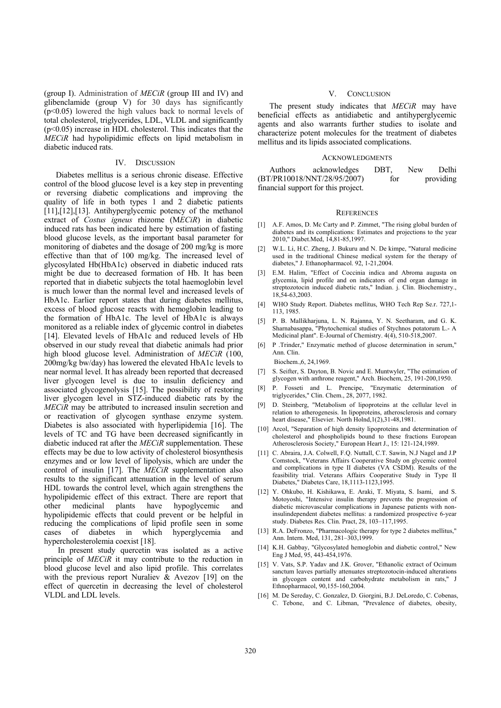(group I). Administration of *MECiR* (group III and IV) and glibenclamide (group V) for 30 days has significantly (p<0.05) lowered the high values back to normal levels of total cholesterol, triglycerides, LDL, VLDL and significantly (p<0.05) increase in HDL cholesterol. This indicates that the *MECiR* had hypolipidimic effects on lipid metabolism in diabetic induced rats.

#### IV. DISCUSSION

Diabetes mellitus is a serious chronic disease. Effective control of the blood glucose level is a key step in preventing or reversing diabetic complications and improving the quality of life in both types 1 and 2 diabetic patients [11],[12],[13]. Antihyperglycemic potency of the methanol extract of *Costus igneus* rhizome (M*ECiR*) in diabetic induced rats has been indicated here by estimation of fasting blood glucose levels, as the important basal parameter for monitoring of diabetes and the dosage of 200 mg/kg is more effective than that of 100 mg/kg. The increased level of glycosylated Hb(HbA1c) observed in diabetic induced rats might be due to decreased formation of Hb. It has been reported that in diabetic subjects the total haemoglobin level is much lower than the normal level and increased levels of HbA1c. Earlier report states that during diabetes mellitus, excess of blood glucose reacts with hemoglobin leading to the formation of HbA1c. The level of HbA1c is always monitored as a reliable index of glycemic control in diabetes [14]. Elevated levels of HbA1c and reduced levels of Hb observed in our study reveal that diabetic animals had prior high blood glucose level. Administration of *MECiR* (100, 200mg/kg bw/day) has lowered the elevated HbA1c levels to near normal level. It has already been reported that decreased liver glycogen level is due to insulin deficiency and associated glycogenolysis [15]. The possibility of restoring liver glycogen level in STZ-induced diabetic rats by the *MECiR* may be attributed to increased insulin secretion and or reactivation of glycogen synthase enzyme system. Diabetes is also associated with hyperlipidemia [16]. The levels of TC and TG have been decreased significantly in diabetic induced rat after the *MECiR* supplementation. These effects may be due to low activity of cholesterol biosynthesis enzymes and or low level of lipolysis, which are under the control of insulin [17]. The *MECiR* supplementation also results to the significant attenuation in the level of serum HDL towards the control level, which again strengthens the hypolipidemic effect of this extract. There are report that other medicinal plants have hypoglycemic and other medicinal plants have hypoglycemic and hypolipidemic effects that could prevent or be helpful in reducing the complications of lipid profile seen in some cases of diabetes in which hyperglycemia and hypercholesterolemia coexist [18].

 In present study quercetin was isolated as a active principle of *MECiR* it may contribute to the reduction in blood glucose level and also lipid profile. This correlates with the previous report Nuraliev & Avezov [19] on the effect of quercetin in decreasing the level of cholesterol VLDL and LDL levels.

#### V. CONCLUSION

The present study indicates that *MECiR* may have beneficial effects as antidiabetic and antihyperglycemic agents and also warrants further studies to isolate and characterize potent molecules for the treatment of diabetes mellitus and its lipids associated complications.

#### ACKNOWLEDGMENTS

| Authors | acknowledges                        | DBT. | New | Delhi     |
|---------|-------------------------------------|------|-----|-----------|
|         | (BT/PR10018/NNT/28/95/2007)         | for  |     | providing |
|         | financial support for this project. |      |     |           |

#### **REFERENCES**

- [1] A.F. Amos, D. Mc Carty and P. Zimmet, "The rising global burden of diabetes and its complications: Estimates and projections to the year 2010," Diabet.Med, 14,81-85,1997.
- [2] W.L. Li, H.C. Zheng, J. Bukuru and N. De kimpe, "Natural medicine used in the traditional Chinese medical system for the therapy of diabetes," J. Ethanopharmacol. 92, 1-21,2004.
- [3] E.M. Halim, "Effect of Coccinia indica and Abroma augusta on glycemia, lipid profile and on indicators of end organ damage in streptozotocin induced diabetic rats," Indian. j. Clin. Biochemistry., 18,54-63,2003.
- [4] WHO Study Report. Diabetes mellitus, WHO Tech Rep Se.r. 727,1- 113, 1985.
- [5] P. B. Mallikharjuna, L. N. Rajanna, Y. N. Seetharam, and G. K. Sharnabasappa, "Phytochemical studies of Stychnos potatorum L.- A Medicinal plant". E-Journal of Chemistry. 4(4), 510-518,2007.
- [6] P .Trinder," Enzymatic method of glucose determination in serum," Ann. Clin.

Biochem.,6, 24,1969.

- [7] S. Seifter, S. Dayton, B. Novic and E. Muntwyler, "The estimation of glycogen with anthrone reagent," Arch. Biochem, 25, 191-200,1950.
- [8] P. Fosseti and L. Prencipe, "Enzymatic determination of triglycerides," Clin. Chem., 28, 2077, 1982.
- [9] D. Steinberg, "Metabolism of lipoproteins at the cellular level in relation to atherogenesis. In lipoproteins, atherosclerosis and cornary heart disease," Elsevier. North Holnd,1(2),31-48,1981.
- [10] Arcol, "Separation of high density lipoproteins and determination of cholesterol and phospholipids bound to these fractions European Atherosclerosis Society," European Heart J., 15: 121-124,1989.
- [11] C. Abraira, J.A. Colwell, F.Q. Nuttall, C.T. Sawin, N.J Nagel and J.P Comstock, "Veterans Affairs Cooperative Study on glycemic control and complications in type II diabetes (VA CSDM). Results of the feasibility trial. Veterans Affairs Cooperative Study in Type II Diabetes," Diabetes Care, 18,1113-1123,1995.
- [12] Y. Ohkubo, H. Kishikawa, E. Araki, T. Miyata, S. Isami, and S. Motoyoshi, "Intensive insulin therapy prevents the progression of diabetic microvascular complications in Japanese patients with noninsulindependent diabetes mellitus: a randomized prospective 6-year study. Diabetes Res. Clin. Pract, 28, 103–117,1995.
- [13] R.A. DeFronzo, "Pharmacologic therapy for type 2 diabetes mellitus," Ann. Intern. Med, 131, 281–303,1999.
- [14] K.H. Gabbay, "Glycosylated hemoglobin and diabetic control," New Eng J Med, 95, 443-454,1976.
- [15] V. Vats, S.P. Yadav and J.K. Grover, "Ethanolic extract of Ocimum sanctum leaves partially attenuates streptozotocin-induced alterations in glycogen content and carbohydrate metabolism in rats," J Ethnopharmacol, 90,155-160,2004.
- [16] M. De Sereday, C. Gonzalez, D. Giorgini, B.J. DeLoredo, C. Cobenas, C. Tebone, and C. Libman, "Prevalence of diabetes, obesity,